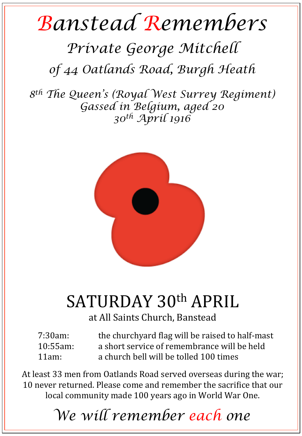## *Banstead Remembers*

## *Private George Mitchell*

*of 44 Oatlands Road, Burgh Heath* 

*8th The Queen's (Royal West Surrey Regiment) Gassed in Belgium, aged 20 30th April 1916* 



## SATURDAY 30th APRIL

at All Saints Church, Banstead

| $7:30am$ :  | the churchyard flag will be raised to half-mast |
|-------------|-------------------------------------------------|
| $10:55am$ : | a short service of remembrance will be held     |
| $11am$ :    | a church bell will be tolled 100 times          |

At least 33 men from Oatlands Road served overseas during the war; 10 never returned. Please come and remember the sacrifice that our local community made 100 years ago in World War One.

*We will remember each one*